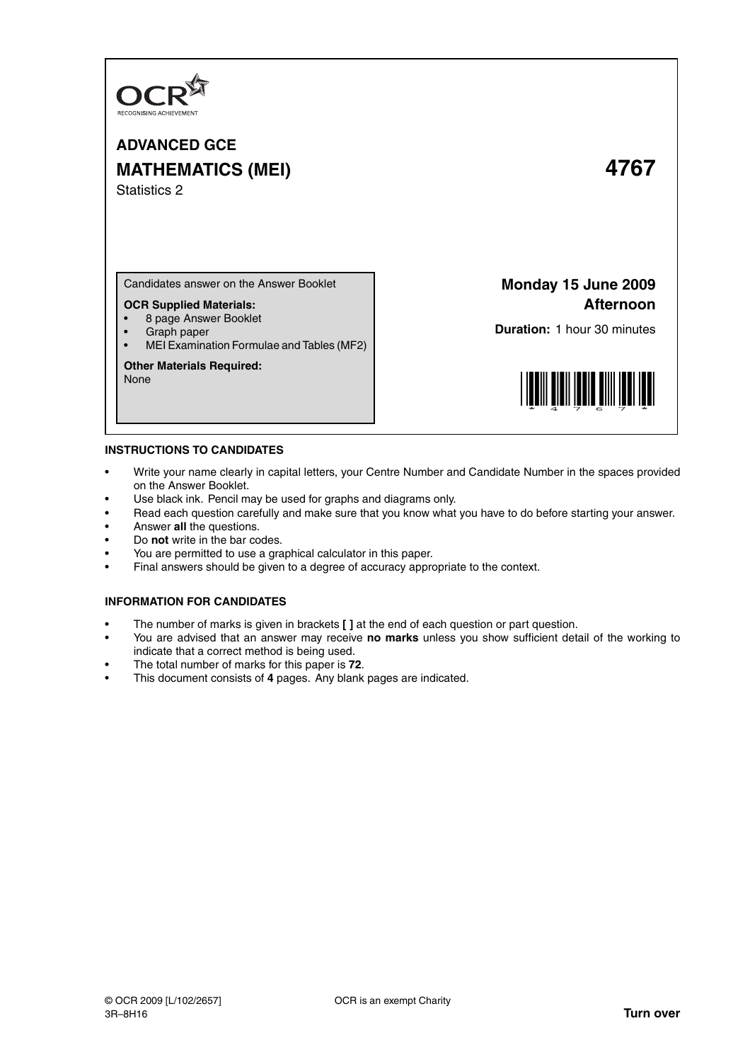

# **ADVANCED GCE MATHEMATICS (MEI) 4767** Statistics 2

Candidates answer on the Answer Booklet

## **OCR Supplied Materials:**

- 8 page Answer Booklet
- Graph paper
- MEI Examination Formulae and Tables (MF2)

## **Other Materials Required:**

None

## **Monday 15 June 2009 Afternoon**

**Duration:** 1 hour 30 minutes



### **INSTRUCTIONS TO CANDIDATES**

- Write your name clearly in capital letters, your Centre Number and Candidate Number in the spaces provided on the Answer Booklet.
- Use black ink. Pencil may be used for graphs and diagrams only.
- Read each question carefully and make sure that you know what you have to do before starting your answer.
- Answer **all** the questions.
- Do **not** write in the bar codes.
- You are permitted to use a graphical calculator in this paper.
- Final answers should be given to a degree of accuracy appropriate to the context.

## **INFORMATION FOR CANDIDATES**

- The number of marks is given in brackets **[ ]** at the end of each question or part question.
- You are advised that an answer may receive **no marks** unless you show sufficient detail of the working to indicate that a correct method is being used.
- The total number of marks for this paper is **72**.
- This document consists of **4** pages. Any blank pages are indicated.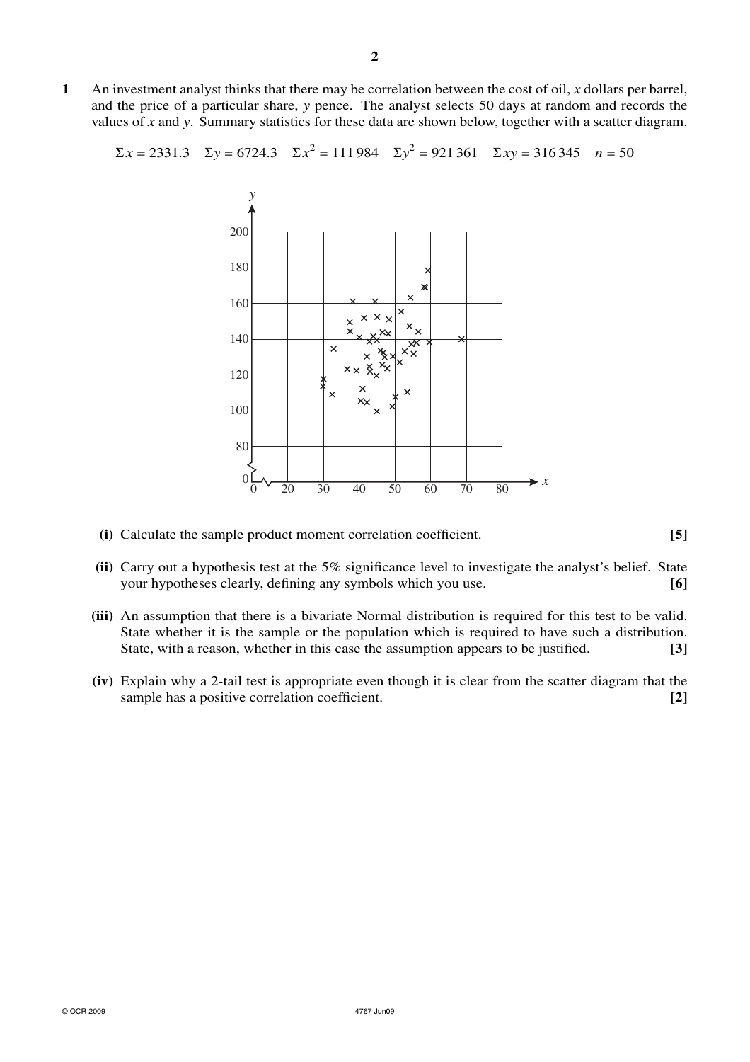**1** An investment analyst thinks that there may be correlation between the cost of oil, *x* dollars per barrel, and the price of a particular share, *y* pence. The analyst selects 50 days at random and records the values of *x* and *y*. Summary statistics for these data are shown below, together with a scatter diagram.

$$
\Sigma x = 2331.3
$$
  $\Sigma y = 6724.3$   $\Sigma x^2 = 111984$   $\Sigma y^2 = 921361$   $\Sigma xy = 316345$   $n = 50$ 



- **(i)** Calculate the sample product moment correlation coefficient. **[5]**
- **(ii)** Carry out a hypothesis test at the 5% significance level to investigate the analyst's belief. State your hypotheses clearly, defining any symbols which you use. **[6]**
- **(iii)** An assumption that there is a bivariate Normal distribution is required for this test to be valid. State whether it is the sample or the population which is required to have such a distribution. State, with a reason, whether in this case the assumption appears to be justified. **[3]**
- **(iv)** Explain why a 2-tail test is appropriate even though it is clear from the scatter diagram that the sample has a positive correlation coefficient. **[2] [2]**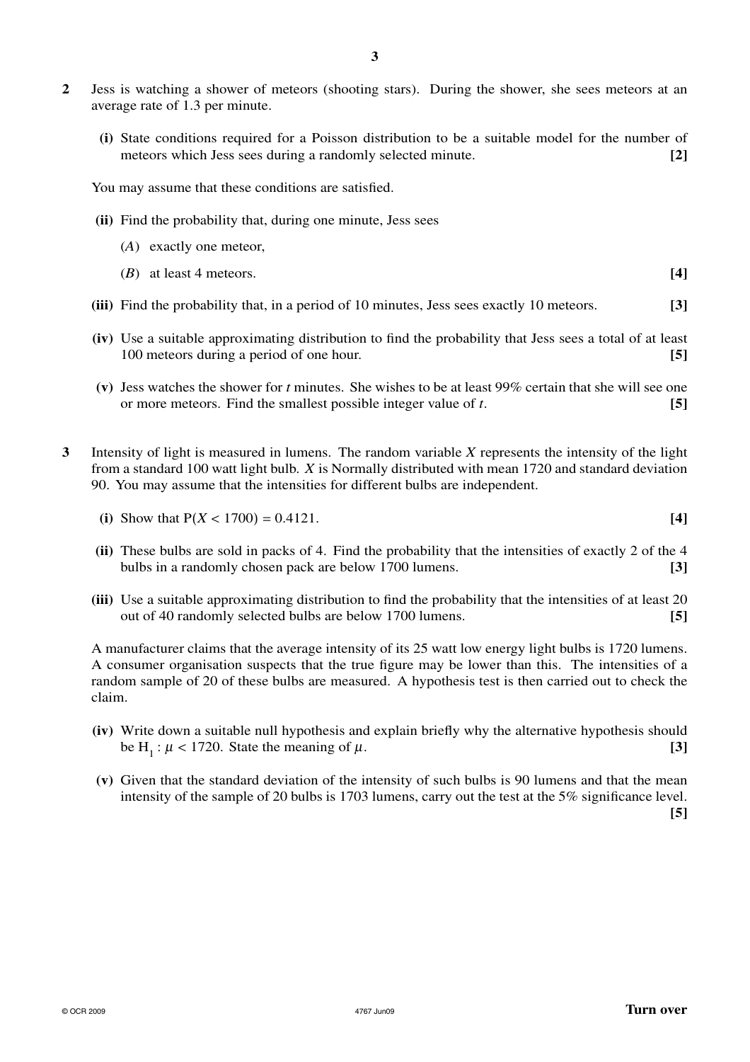- **2** Jess is watching a shower of meteors (shooting stars). During the shower, she sees meteors at an average rate of 1.3 per minute.
	- **(i)** State conditions required for a Poisson distribution to be a suitable model for the number of meteors which Jess sees during a randomly selected minute. **[2]**

You may assume that these conditions are satisfied.

- **(ii)** Find the probability that, during one minute, Jess sees
	- (*A*) exactly one meteor,
	- (*B*) at least 4 meteors. **[4]**
- **(iii)** Find the probability that, in a period of 10 minutes, Jess sees exactly 10 meteors. **[3]**
- **(iv)** Use a suitable approximating distribution to find the probability that Jess sees a total of at least 100 meteors during a period of one hour. **[5]**
- **(v)** Jess watches the shower for *t* minutes. She wishes to be at least 99% certain that she will see one or more meteors. Find the smallest possible integer value of *t*. **[5]**
- **3** Intensity of light is measured in lumens. The random variable *X* represents the intensity of the light from a standard 100 watt light bulb. *X* is Normally distributed with mean 1720 and standard deviation 90. You may assume that the intensities for different bulbs are independent.
	- (i) Show that  $P(X < 1700) = 0.4121$ . [4]
	- **(ii)** These bulbs are sold in packs of 4. Find the probability that the intensities of exactly 2 of the 4 bulbs in a randomly chosen pack are below 1700 lumens. **[3]**
	- **(iii)** Use a suitable approximating distribution to find the probability that the intensities of at least 20 out of 40 randomly selected bulbs are below 1700 lumens. **[5]**

A manufacturer claims that the average intensity of its 25 watt low energy light bulbs is 1720 lumens. A consumer organisation suspects that the true figure may be lower than this. The intensities of a random sample of 20 of these bulbs are measured. A hypothesis test is then carried out to check the claim.

- **(iv)** Write down a suitable null hypothesis and explain briefly why the alternative hypothesis should be H<sub>1</sub>:  $\mu$  < 1720. State the meaning of  $\mu$ . **[3]**
- **(v)** Given that the standard deviation of the intensity of such bulbs is 90 lumens and that the mean intensity of the sample of 20 bulbs is 1703 lumens, carry out the test at the 5% significance level. **[5]**